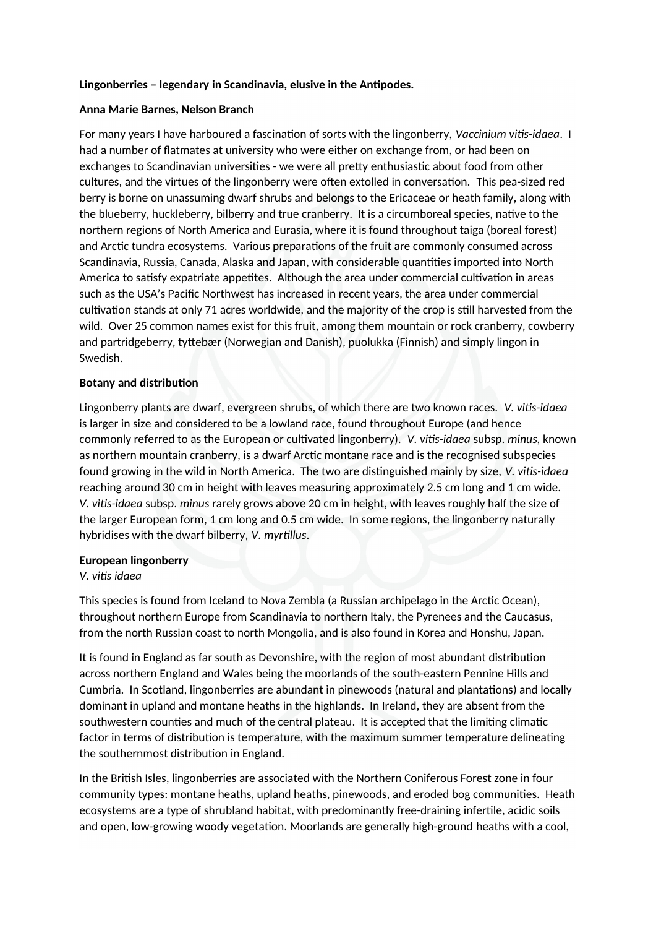## Lingonberries - legendary in Scandinavia, elusive in the Antipodes.

## **Anna Marie Barnes, Nelson Branch**

For many years I have harboured a fascination of sorts with the lingonberry, *Vaccinium vitis-idaea*. I had a number of fatmates at university who were either on exchange from, or had been on exchanges to Scandinavian universities - we were all pretty enthusiastic about food from other cultures, and the virtues of the lingonberry were often extolled in conversation. This pea-sized red berry is borne on unassuming dwarf shrubs and belongs to the Ericaceae or heath family, along with the blueberry, huckleberry, bilberry and true cranberry. It is a circumboreal species, natve to the northern regions of North America and Eurasia, where it is found throughout taiga (boreal forest) and Arctic tundra ecosystems. Various preparations of the fruit are commonly consumed across Scandinavia, Russia, Canada, Alaska and Japan, with considerable quantities imported into North America to satisfy expatriate appetites. Although the area under commercial cultivation in areas such as the USA's Pacifc Northwest has increased in recent years, the area under commercial cultivation stands at only 71 acres worldwide, and the majority of the crop is still harvested from the wild. Over 25 common names exist for this fruit, among them mountain or rock cranberry, cowberry and partridgeberry, tyttebær (Norwegian and Danish), puolukka (Finnish) and simply lingon in Swedish.

## **Botany and distribution**

Lingonberry plants are dwarf, evergreen shrubs, of which there are two known races. *V. vitis-idaea* is larger in size and considered to be a lowland race, found throughout Europe (and hence commonly referred to as the European or cultivated lingonberry). *V. vitis-idaea* subsp. *minus*, known as northern mountain cranberry, is a dwarf Arctic montane race and is the recognised subspecies found growing in the wild in North America. The two are distnguished mainly by size, *V. vitisiiaea* reaching around 30 cm in height with leaves measuring approximately 2.5 cm long and 1 cm wide. *V. vitisiiaea* subsp. *minui* rarely grows above 20 cm in height, with leaves roughly half the size of the larger European form, 1 cm long and 0.5 cm wide. In some regions, the lingonberry naturally hybridises with the dwarf bilberry, *V. myrtillus*.

#### **European lingonberry**

#### *V. vitis idaea*

This species is found from Iceland to Nova Zembla (a Russian archipelago in the Arctic Ocean), throughout northern Europe from Scandinavia to northern Italy, the Pyrenees and the Caucasus, from the north Russian coast to north Mongolia, and is also found in Korea and Honshu, Japan.

It is found in England as far south as Devonshire, with the region of most abundant distributon across northern England and Wales being the moorlands of the south-eastern Pennine Hills and Cumbria. In Scotland, lingonberries are abundant in pinewoods (natural and plantatons) and locally dominant in upland and montane heaths in the highlands. In Ireland, they are absent from the southwestern counties and much of the central plateau. It is accepted that the limiting climatic factor in terms of distribution is temperature, with the maximum summer temperature delineating the southernmost distribution in England.

In the Britsh Isles, lingonberries are associated with the Northern Coniferous Forest zone in four community types: montane heaths, upland heaths, pinewoods, and eroded bog communites. Heath ecosystems are a type of shrubland habitat, with predominantly free-draining infertle, acidic soils and open, low-growing woody vegetation. Moorlands are generally high-ground heaths with a cool,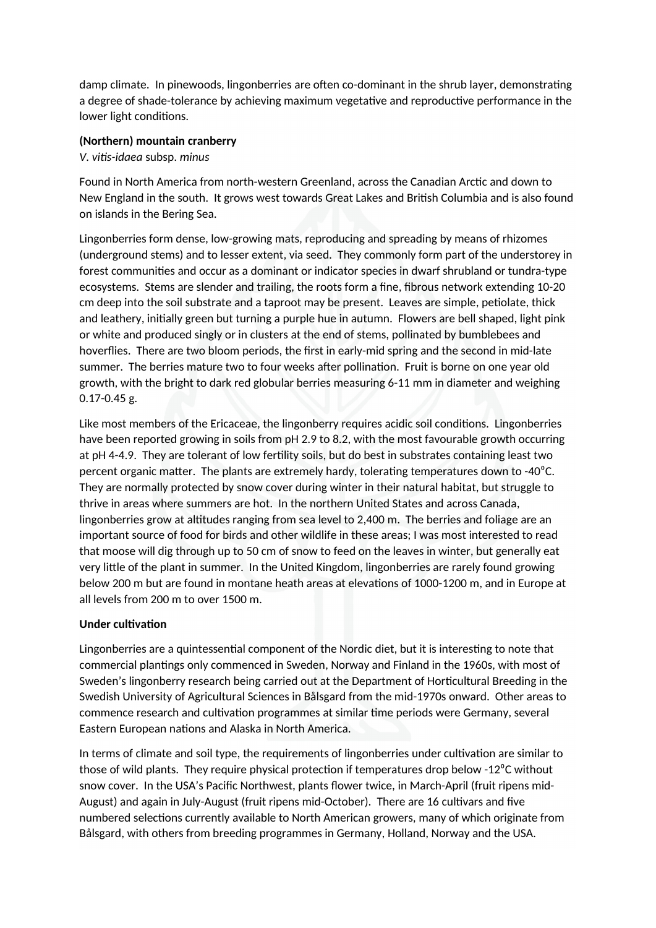damp climate. In pinewoods, lingonberries are often co-dominant in the shrub layer, demonstrating a degree of shade-tolerance by achieving maximum vegetative and reproductive performance in the lower light conditions.

### **(Northern) mountain cranberry**

*V. vitisiiaea* subsp. *minui*

Found in North America from north-western Greenland, across the Canadian Arctic and down to New England in the south. It grows west towards Great Lakes and Britsh Columbia and is also found on islands in the Bering Sea.

Lingonberries form dense, low-growing mats, reproducing and spreading by means of rhizomes (underground stems) and to lesser extent, via seed. They commonly form part of the understorey in forest communities and occur as a dominant or indicator species in dwarf shrubland or tundra-type ecosystems. Stems are slender and trailing, the roots form a fne, fbrous network extending 10-20 cm deep into the soil substrate and a taproot may be present. Leaves are simple, petolate, thick and leathery, initally green but turning a purple hue in autumn. Flowers are bell shaped, light pink or white and produced singly or in clusters at the end of stems, pollinated by bumblebees and hoverflies. There are two bloom periods, the first in early-mid spring and the second in mid-late summer. The berries mature two to four weeks after pollination. Fruit is borne on one year old growth, with the bright to dark red globular berries measuring 6-11 mm in diameter and weighing 0.17-0.45 g.

Like most members of the Ericaceae, the lingonberry requires acidic soil conditons. Lingonberries have been reported growing in soils from pH 2.9 to 8.2, with the most favourable growth occurring at pH 4-4.9. They are tolerant of low fertlity soils, but do best in substrates containing least two percent organic matter. The plants are extremely hardy, tolerating temperatures down to -40 $^{\circ}$ C. They are normally protected by snow cover during winter in their natural habitat, but struggle to thrive in areas where summers are hot. In the northern United States and across Canada, lingonberries grow at alttudes ranging from sea level to 2,400 m. The berries and foliage are an important source of food for birds and other wildlife in these areas; I was most interested to read that moose will dig through up to 50 cm of snow to feed on the leaves in winter, but generally eat very litle of the plant in summer. In the United Kingdom, lingonberries are rarely found growing below 200 m but are found in montane heath areas at elevations of 1000-1200 m, and in Europe at all levels from 200 m to over 1500 m.

# **Under cultivation**

Lingonberries are a quintessential component of the Nordic diet, but it is interesting to note that commercial plantings only commenced in Sweden, Norway and Finland in the 1960s, with most of Sweden's lingonberry research being carried out at the Department of Horticultural Breeding in the Swedish University of Agricultural Sciences in Bålsgard from the mid-1970s onward. Other areas to commence research and cultvaton programmes at similar tme periods were Germany, several Eastern European nations and Alaska in North America.

In terms of climate and soil type, the requirements of lingonberries under cultivation are similar to those of wild plants. They require physical protection if temperatures drop below -12<sup>o</sup>C without snow cover. In the USA's Pacific Northwest, plants flower twice, in March-April (fruit ripens mid-August) and again in July-August (fruit ripens mid-October). There are 16 cultivars and five numbered selections currently available to North American growers, many of which originate from Bålsgard, with others from breeding programmes in Germany, Holland, Norway and the USA.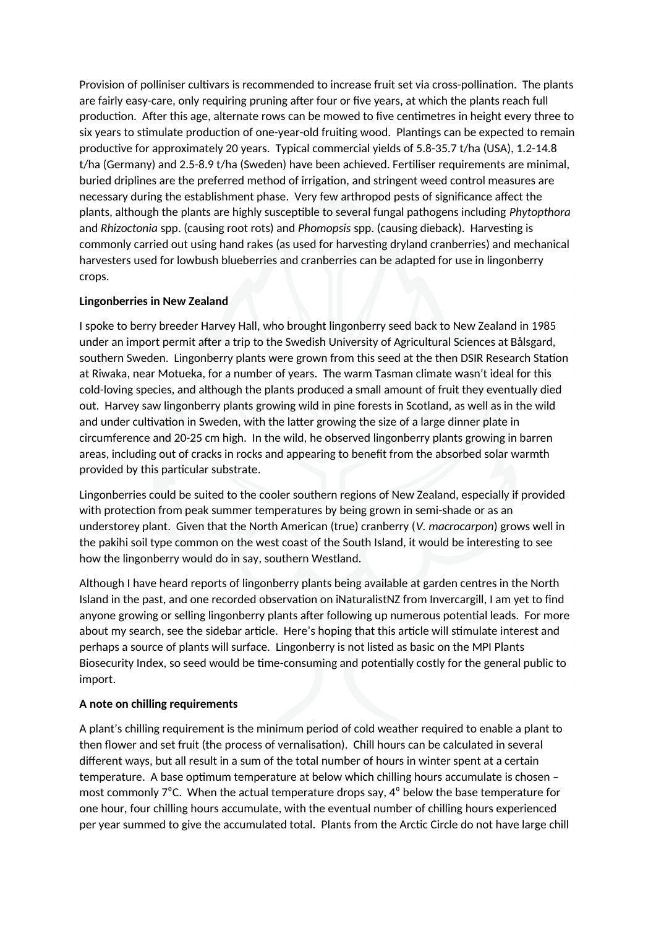Provision of polliniser cultivars is recommended to increase fruit set via cross-pollination. The plants are fairly easy-care, only requiring pruning after four or five years, at which the plants reach full production. After this age, alternate rows can be mowed to five centimetres in height every three to six years to stimulate production of one-year-old fruiting wood. Plantings can be expected to remain productive for approximately 20 years. Typical commercial yields of 5.8-35.7 t/ha (USA), 1.2-14.8 t/ha (Germany) and 2.5-8.9 t/ha (Sweden) have been achieved. Fertliser requirements are minimal, buried driplines are the preferred method of irrigation, and stringent weed control measures are necessary during the establishment phase. Very few arthropod pests of signifcance afect the plants, although the plants are highly susceptble to several fungal pathogens including *Phytopthora* and *Rhizoctonia* spp. (causing root rots) and *Phomopsis* spp. (causing dieback). Harvesting is commonly carried out using hand rakes (as used for harvestng dryland cranberries) and mechanical harvesters used for lowbush blueberries and cranberries can be adapted for use in lingonberry crops.

## **Lingonberries in New Zealand**

I spoke to berry breeder Harvey Hall, who brought lingonberry seed back to New Zealand in 1985 under an import permit after a trip to the Swedish University of Agricultural Sciences at Bålsgard, southern Sweden. Lingonberry plants were grown from this seed at the then DSIR Research Staton at Riwaka, near Motueka, for a number of years. The warm Tasman climate wasn't ideal for this cold-loving species, and although the plants produced a small amount of fruit they eventually died out. Harvey saw lingonberry plants growing wild in pine forests in Scotland, as well as in the wild and under cultivation in Sweden, with the latter growing the size of a large dinner plate in circumference and 20-25 cm high. In the wild, he observed lingonberry plants growing in barren areas, including out of cracks in rocks and appearing to beneft from the absorbed solar warmth provided by this particular substrate.

Lingonberries could be suited to the cooler southern regions of New Zealand, especially if provided with protection from peak summer temperatures by being grown in semi-shade or as an understorey plant. Given that the North American (true) cranberry (*V. macrocarpon*) grows well in the pakihi soil type common on the west coast of the South Island, it would be interestng to see how the lingonberry would do in say, southern Westland.

Although I have heard reports of lingonberry plants being available at garden centres in the North Island in the past, and one recorded observaton on iNaturalistNZ from Invercargill, I am yet to fnd anyone growing or selling lingonberry plants after following up numerous potential leads. For more about my search, see the sidebar article. Here's hoping that this article will stimulate interest and perhaps a source of plants will surface. Lingonberry is not listed as basic on the MPI Plants Biosecurity Index, so seed would be tme-consuming and potentally costly for the general public to import.

# **A note on chilling requirements**

A plant's chilling requirement is the minimum period of cold weather required to enable a plant to then flower and set fruit (the process of vernalisation). Chill hours can be calculated in several diferent ways, but all result in a sum of the total number of hours in winter spent at a certain temperature. A base optimum temperature at below which chilling hours accumulate is chosen most commonly  $7^{\circ}$ C. When the actual temperature drops say,  $4^{\circ}$  below the base temperature for one hour, four chilling hours accumulate, with the eventual number of chilling hours experienced per year summed to give the accumulated total. Plants from the Arctic Circle do not have large chill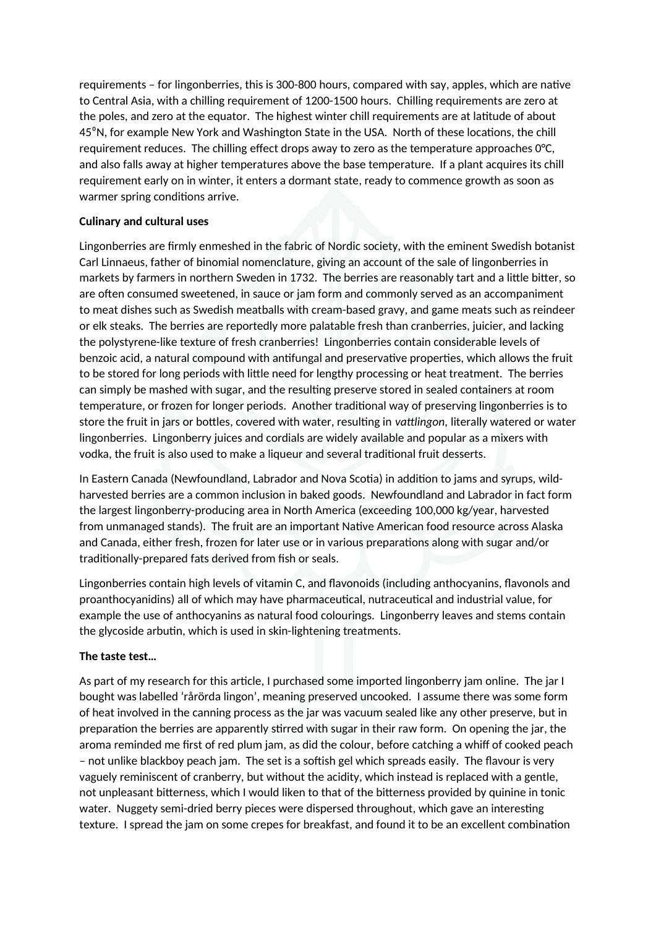requirements – for lingonberries, this is 300-800 hours, compared with say, apples, which are natve to Central Asia, with a chilling requirement of 1200-1500 hours. Chilling requirements are zero at the poles, and zero at the equator. The highest winter chill requirements are at lattude of about 45<sup>o</sup>N, for example New York and Washington State in the USA. North of these locations, the chill requirement reduces. The chilling efect drops away to zero as the temperature approaches 0°C, and also falls away at higher temperatures above the base temperature. If a plant acquires its chill requirement early on in winter, it enters a dormant state, ready to commence growth as soon as warmer spring conditions arrive.

## **Culinary and cultural uses**

Lingonberries are frmly enmeshed in the fabric of Nordic society, with the eminent Swedish botanist Carl Linnaeus, father of binomial nomenclature, giving an account of the sale of lingonberries in markets by farmers in northern Sweden in 1732. The berries are reasonably tart and a litle biter, so are often consumed sweetened, in sauce or jam form and commonly served as an accompaniment to meat dishes such as Swedish meatballs with cream-based gravy, and game meats such as reindeer or elk steaks. The berries are reportedly more palatable fresh than cranberries, juicier, and lacking the polystyrene-like texture of fresh cranberries! Lingonberries contain considerable levels of benzoic acid, a natural compound with antfungal and preservatve propertes, which allows the fruit to be stored for long periods with litle need for lengthy processing or heat treatment. The berries can simply be mashed with sugar, and the resultng preserve stored in sealed containers at room temperature, or frozen for longer periods. Another traditonal way of preserving lingonberries is to store the fruit in jars or bottles, covered with water, resulting in *vattlingon*, literally watered or water lingonberries. Lingonberry juices and cordials are widely available and popular as a mixers with vodka, the fruit is also used to make a liqueur and several traditonal fruit desserts.

In Eastern Canada (Newfoundland, Labrador and Nova Scotia) in addition to jams and syrups, wildharvested berries are a common inclusion in baked goods. Newfoundland and Labrador in fact form the largest lingonberry-producing area in North America (exceeding 100,000 kg/year, harvested from unmanaged stands). The fruit are an important Natve American food resource across Alaska and Canada, either fresh, frozen for later use or in various preparations along with sugar and/or traditionally-prepared fats derived from fish or seals.

Lingonberries contain high levels of vitamin C, and favonoids (including anthocyanins, favonols and proanthocyanidins) all of which may have pharmaceutcal, nutraceutcal and industrial value, for example the use of anthocyanins as natural food colourings. Lingonberry leaves and stems contain the glycoside arbutin, which is used in skin-lightening treatments.

# **The taste test…**

As part of my research for this article, I purchased some imported lingonberry jam online. The jar I bought was labelled 'rårörda lingon', meaning preserved uncooked. I assume there was some form of heat involved in the canning process as the jar was vacuum sealed like any other preserve, but in preparation the berries are apparently stirred with sugar in their raw form. On opening the jar, the aroma reminded me first of red plum jam, as did the colour, before catching a whiff of cooked peach – not unlike blackboy peach jam. The set is a softish gel which spreads easily. The flavour is very vaguely reminiscent of cranberry, but without the acidity, which instead is replaced with a gentle, not unpleasant biterness, which I would liken to that of the biterness provided by quinine in tonic water. Nuggety semi-dried berry pieces were dispersed throughout, which gave an interesting texture. I spread the jam on some crepes for breakfast, and found it to be an excellent combination